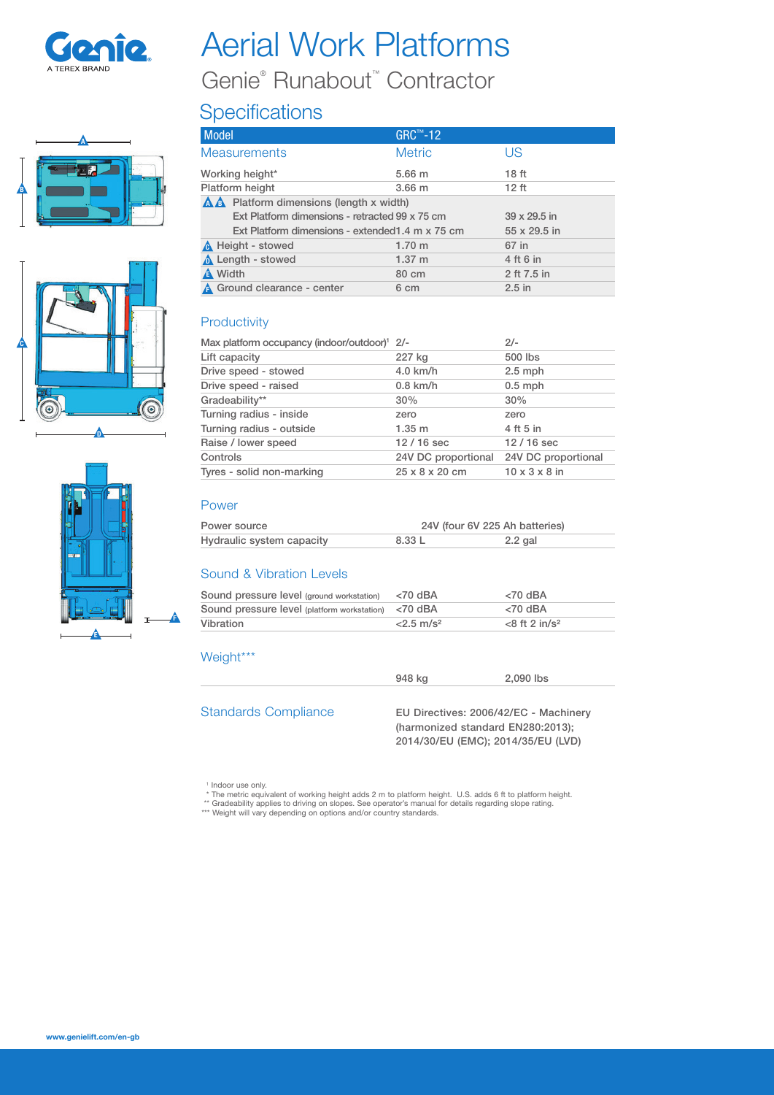

# Aerial Work Platforms Genie® Runabout™ Contractor

## **Specifications**





| <b>Model</b>                                     | GRC™-12           |                  |  |
|--------------------------------------------------|-------------------|------------------|--|
| <b>Measurements</b>                              | <b>Metric</b>     | US               |  |
| Working height*                                  | 5.66 <sub>m</sub> | 18 <sub>ft</sub> |  |
| Platform height                                  | 3.66 <sub>m</sub> | 12 <sub>ft</sub> |  |
| A A Platform dimensions (length x width)         |                   |                  |  |
| Ext Platform dimensions - retracted 99 x 75 cm   |                   | 39 x 29.5 in     |  |
| Ext Platform dimensions - extended 1.4 m x 75 cm |                   | 55 x 29.5 in     |  |
| A Height - stowed                                | 1.70 m            | 67 in            |  |
| Length - stowed                                  | $1.37 \; m$       | 4 ft 6 in        |  |
| <b>A</b> Width                                   | 80 cm             | 2 ft 7.5 in      |  |
| <b>A</b> Ground clearance - center               | 6 cm              | $2.5$ in         |  |

#### **Productivity**

| Max platform occupancy (indoor/outdoor) <sup>1</sup> 2/- |                     | $2/-$                     |
|----------------------------------------------------------|---------------------|---------------------------|
| Lift capacity                                            | 227 kg              | 500 lbs                   |
| Drive speed - stowed                                     | 4.0 km/h            | $2.5$ mph                 |
| Drive speed - raised                                     | $0.8$ km/h          | $0.5$ mph                 |
| Gradeability**                                           | 30%                 | 30%                       |
| Turning radius - inside                                  | zero                | zero                      |
| Turning radius - outside                                 | 1.35 m              | 4 ft 5 in                 |
| Raise / lower speed                                      | $12/16$ sec         | $12/16$ sec               |
| Controls                                                 | 24V DC proportional | 24V DC proportional       |
| Tyres - solid non-marking                                | 25 x 8 x 20 cm      | $10 \times 3 \times 8$ in |

#### Power

| Power source              | 24V (four 6V 225 Ah batteries) |         |
|---------------------------|--------------------------------|---------|
| Hydraulic system capacity | 8.33 L                         | 2.2 gal |

#### Sound & Vibration Levels

| Sound pressure level (ground workstation)           | $<$ 70 dBA               | $<$ 70 dBA                  |
|-----------------------------------------------------|--------------------------|-----------------------------|
| Sound pressure level (platform workstation) <70 dBA |                          | $<$ 70 dBA                  |
| <b>Vibration</b>                                    | $< 2.5$ m/s <sup>2</sup> | $<8$ ft 2 in/s <sup>2</sup> |

### Weight\*\*\*

Standards Compliance EU Directives: 2006/42/EC - Machinery (harmonized standard EN280:2013); 2014/30/EU (EMC); 2014/35/EU (LVD)

948 kg 2,090 lbs

<sup>1</sup> Indoor use only.

\* The metric equivalent of working height adds 2 m to platform height. U.S. adds 6 ft to platform height.<br>\*\* Gradeability applies to driving on slopes. See operator's manual for details regarding slope rating.<br>\*\*\* Weight w